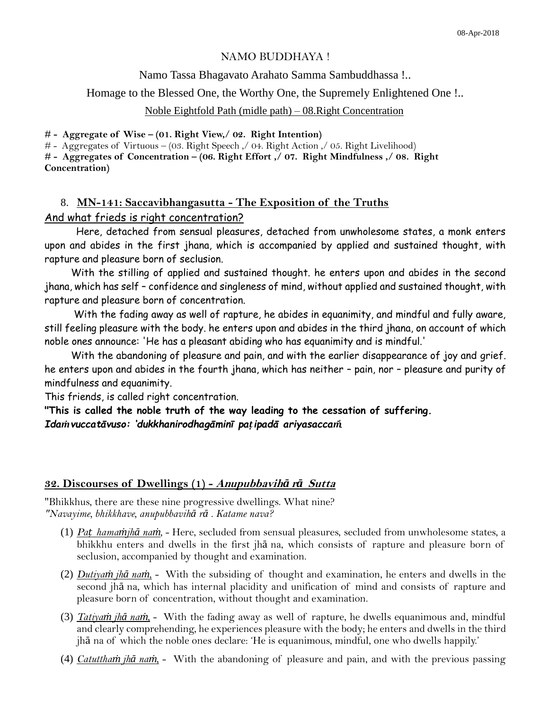### NAMO BUDDHAYA !

#### Namo Tassa Bhagavato Arahato Samma Sambuddhassa !..

Homage to the Blessed One, the Worthy One, the Supremely Enlightened One !..

#### Noble Eightfold Path (midle path) – 08.Right Concentration

**# - Aggregate of Wise – (01. Right View,/ 02. Right Intention)**

# - Aggregates of Virtuous – (03. Right Speech ,/ 04. Right Action ,/ 05. Right Livelihood)

**# - Aggregates of Concentration – (06. Right Effort ,/ 07. Right Mindfulness ,/ 08. Right Concentration)**

# 8. **MN-141: Saccavibhangasutta - The Exposition of the Truths** And what frieds is right concentration?

Here, detached from sensual pleasures, detached from unwholesome states, a monk enters upon and abides in the first jhana, which is accompanied by applied and sustained thought, with rapture and pleasure born of seclusion.

 With the stilling of applied and sustained thought. he enters upon and abides in the second jhana, which has self – confidence and singleness of mind, without applied and sustained thought, with rapture and pleasure born of concentration.

 With the fading away as well of rapture, he abides in equanimity, and mindful and fully aware, still feeling pleasure with the body. he enters upon and abides in the third jhana, on account of which noble ones announce: 'He has a pleasant abiding who has equanimity and is mindful.'

 With the abandoning of pleasure and pain, and with the earlier disappearance of joy and grief. he enters upon and abides in the fourth jhana, which has neither – pain, nor – pleasure and purity of mindfulness and equanimity.

This friends, is called right concentration.

**"This is called the noble truth of the way leading to the cessation of suffering.** *Idaṁvuccatāvuso: 'dukkhanirodhagāminī paṭipadā ariyasaccaṁ'.*

### **32. Discourses of Dwellings (1) - Anupubbavih***ā* **<sup>r</sup>***ā* **Sutta**

"Bhikkhus, there are these nine progressive dwellings. What nine? *"Navayime, bhikkhave, anupubbavihā rā . Katame nava?*

- (1) *Paṭ hamaṁjhā naṁ,* Here, secluded from sensual pleasures, secluded from unwholesome states, a bhikkhu enters and dwells in the first jhā na, which consists of rapture and pleasure born of seclusion, accompanied by thought and examination.
- (2) *Dutiyaṁ jhā naṁ*, With the subsiding of thought and examination, he enters and dwells in the second jhā na, which has internal placidity and unification of mind and consists of rapture and pleasure born of concentration, without thought and examination.
- (3) *Tatiyaṁ jhā naṁ,* With the fading away as well of rapture, he dwells equanimous and, mindful and clearly comprehending, he experiences pleasure with the body; he enters and dwells in the third jhā na of which the noble ones declare: 'He is equanimous, mindful, one who dwells happily.'
- (4) *Catutthaṁ jhā naṁ,* With the abandoning of pleasure and pain, and with the previous passing